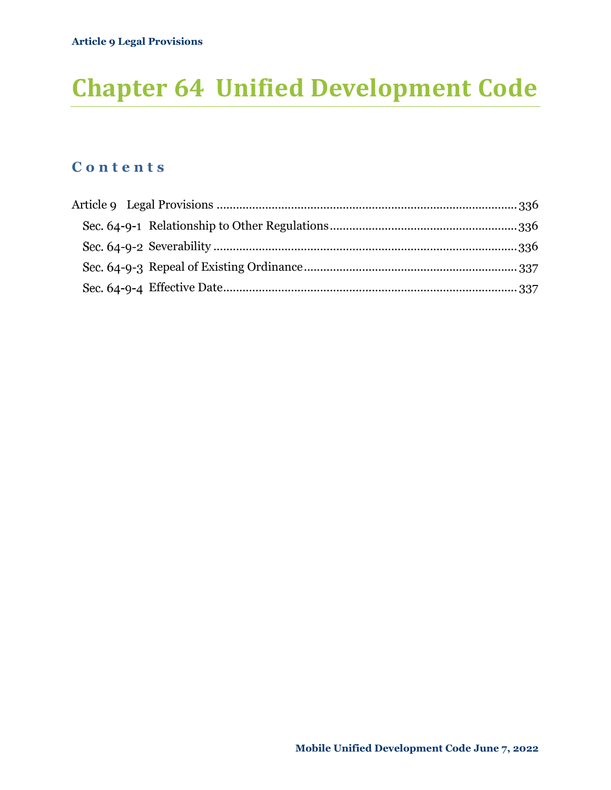# **Chapter 64 Unified Development Code**

### **C o n t e n t s**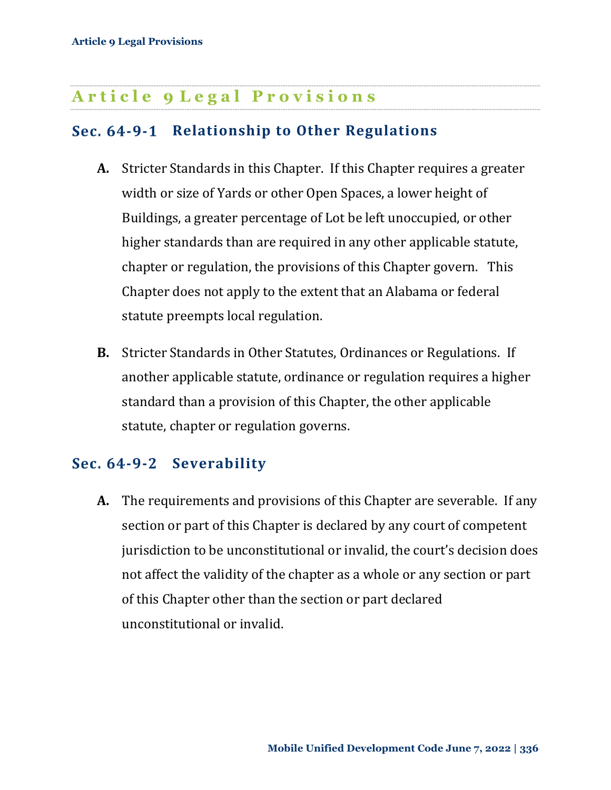# **A r t i c l e 9 L e g a l P r o v i s i o n s**

# Sec. 64-9-1 Relationship to Other Regulations

- **A.** Stricter Standards in this Chapter. If this Chapter requires a greater width or size of Yards or other Open Spaces, a lower height of Buildings, a greater percentage of Lot be left unoccupied, or other higher standards than are required in any other applicable statute, chapter or regulation, the provisions of this Chapter govern. This Chapter does not apply to the extent that an Alabama or federal statute preempts local regulation.
- **B.** Stricter Standards in Other Statutes, Ordinances or Regulations. If another applicable statute, ordinance or regulation requires a higher standard than a provision of this Chapter, the other applicable statute, chapter or regulation governs.

### Sec. 64-9-2 Severability

**A.** The requirements and provisions of this Chapter are severable. If any section or part of this Chapter is declared by any court of competent jurisdiction to be unconstitutional or invalid, the court's decision does not affect the validity of the chapter as a whole or any section or part of this Chapter other than the section or part declared unconstitutional or invalid.